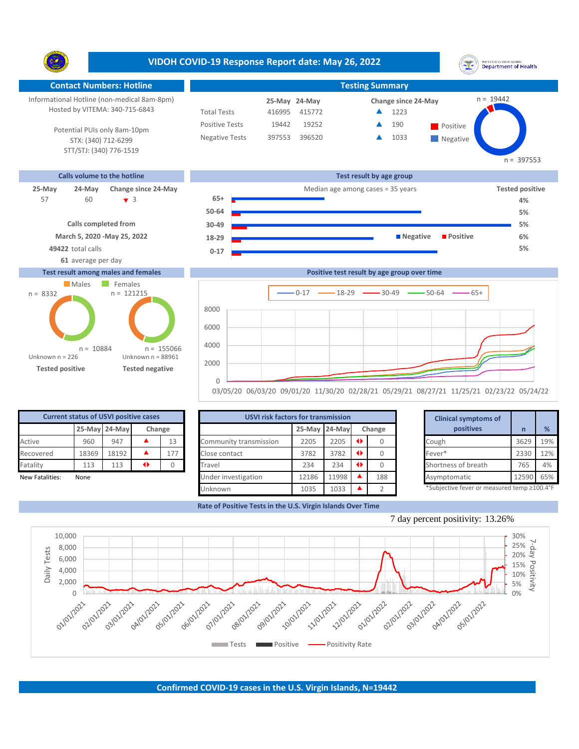**VIDOH COVID-19 Response Report date: May 26, 2022** UNITED STATES VIRGIN ISLANDS<br>Department of Health Ÿ. **Contact Numbers: Hotline Testing Summary**  $n = 19442$ Informational Hotline (non-medical 8am-8pm) **24-May 25-May Change since 24-May** Hosted by VITEMA: 340-715-6843 Total Tests 416995 415772 ▲ 1223 Positive Tests 19442 19252  $\triangle$  190 Positive  $\blacktriangle$ 190 Potential PUIs only 8am-10pm Negative Tests 397553 396520 **1033** ▲ STX: (340) 712-6299 **Negative** STT/STJ: (340) 776-1519 n = 397553 **Calls volume to the hotline Test result by age group 25-May 24-May Change since 24-May** Median age among cases = 35 years **Tested positive** 60 3 **65+** 57 60 <del>v</del> 3 65+ <del>a contract</del> contract contract de 4% **50-64 5% Calls completed from 30-49 5% March 5, 2020 -May 25, 2022 18-29 Negative Positive 6% 49422** total calls **5% 0-17 61** average per day **Test result among males and females Positive test result by age group over time** Males Females  $n = 121215$ n = 8332  $0-17$   $\longrightarrow$  18-29  $\longrightarrow$  30-49  $\longrightarrow$  50-64  $\longrightarrow$  65+ 8000 6000 4000 n = 155066 n = 10884 Unknown n = 226 Unknown n = 88961

**Tested positive Tested negative**

| 03/05/20 06/03/20 09/01/20 11/30/20 02/28/21 05/29/21 08/27/21 11/25/21 02/23/22 05/24/22 |  |  |  |  |  |
|-------------------------------------------------------------------------------------------|--|--|--|--|--|

| <b>Current status of USVI positive cases</b> |       |               |        |     |  |  |  |  |  |  |
|----------------------------------------------|-------|---------------|--------|-----|--|--|--|--|--|--|
|                                              |       | 25-May 24-May | Change |     |  |  |  |  |  |  |
| Active                                       | 960   | 947           |        | 13  |  |  |  |  |  |  |
| Recovered                                    | 18369 | 18192         |        | 177 |  |  |  |  |  |  |
| Fatality                                     | 113   | 113           |        |     |  |  |  |  |  |  |
| New Fatalities:                              | None  |               |        |     |  |  |  |  |  |  |

|                 | <b>Current status of USVI positive cases</b> |               |   |        | <b>USVI risk factors for transmission</b> |               |       | <b>Clinical symptoms of</b> |        |  |                                             |       |     |
|-----------------|----------------------------------------------|---------------|---|--------|-------------------------------------------|---------------|-------|-----------------------------|--------|--|---------------------------------------------|-------|-----|
|                 |                                              | 25-May 24-May |   | Change |                                           | 25-May 24-May |       |                             | Change |  | positives                                   |       | %   |
| Active          | 960                                          | 947           |   | 13     | Community transmission                    | 2205          | 2205  | $\rightarrow$               |        |  | Cough                                       | 3629  | 19% |
| Recovered       | 18369                                        | 18192         |   | 177    | Close contact                             | 3782          | 3782  | $\rightarrow$               |        |  | Fever*                                      | 2330  | 12% |
| Fatality        | 113                                          | 113           | ◆ |        | Travel                                    | 234           | 234   | $\rightarrow$               |        |  | Shortness of breath                         | 765   | 4%  |
| New Fatalities: | None                                         |               |   |        | Under investigation                       | 12186         | 11998 |                             | 188    |  | Asymptomatic                                | 12590 | 65% |
|                 |                                              |               |   |        | Unknown                                   | 1035          | 1033  |                             |        |  | *Subjective fever or measured temp ≥100.4°F |       |     |

**Rate of Positive Tests in the U.S. Virgin Islands Over Time**

 $\cap$ 2000

|       | for transmission |   |          | <b>Clinical symptoms of</b>                 |       |     |
|-------|------------------|---|----------|---------------------------------------------|-------|-----|
|       | 25-May 24-May    |   | Change   | positives                                   | n     | %   |
| 2205  | 2205             | ◆ |          | Cough                                       | 3629  | 19% |
| 3782  | 3782             | ◆ | 0        | Fever*                                      | 2330  | 12% |
| 234   | 234              | ◆ | $\Omega$ | Shortness of breath                         | 765   | 4%  |
| 12186 | 11998            | ▲ | 188      | Asymptomatic                                | 12590 | 65% |
| 1035  | 1033             |   | C.       | *Subjective fever or measured temp ≥100.4°F |       |     |